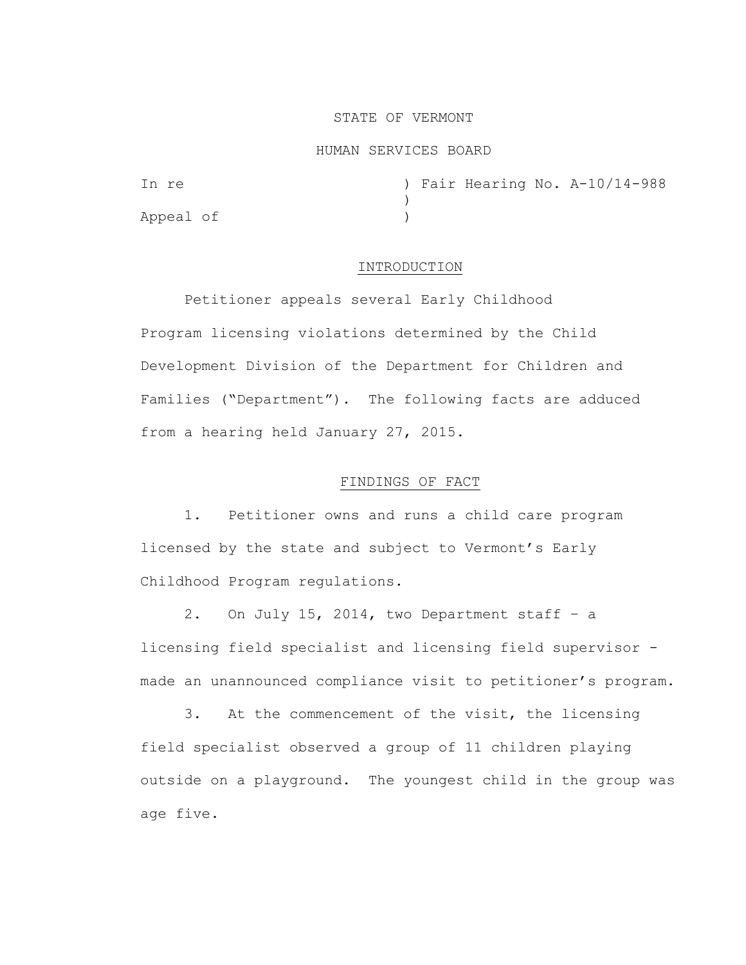### STATE OF VERMONT

#### HUMAN SERVICES BOARD

| In re     |  |  | ) Fair Hearing No. A-10/14-988 |
|-----------|--|--|--------------------------------|
|           |  |  |                                |
| Appeal of |  |  |                                |

## INTRODUCTION

Petitioner appeals several Early Childhood Program licensing violations determined by the Child Development Division of the Department for Children and Families ("Department"). The following facts are adduced from a hearing held January 27, 2015.

# FINDINGS OF FACT

1. Petitioner owns and runs a child care program licensed by the state and subject to Vermont's Early Childhood Program regulations.

2. On July 15, 2014, two Department staff – a licensing field specialist and licensing field supervisor made an unannounced compliance visit to petitioner's program.

3. At the commencement of the visit, the licensing field specialist observed a group of 11 children playing outside on a playground. The youngest child in the group was age five.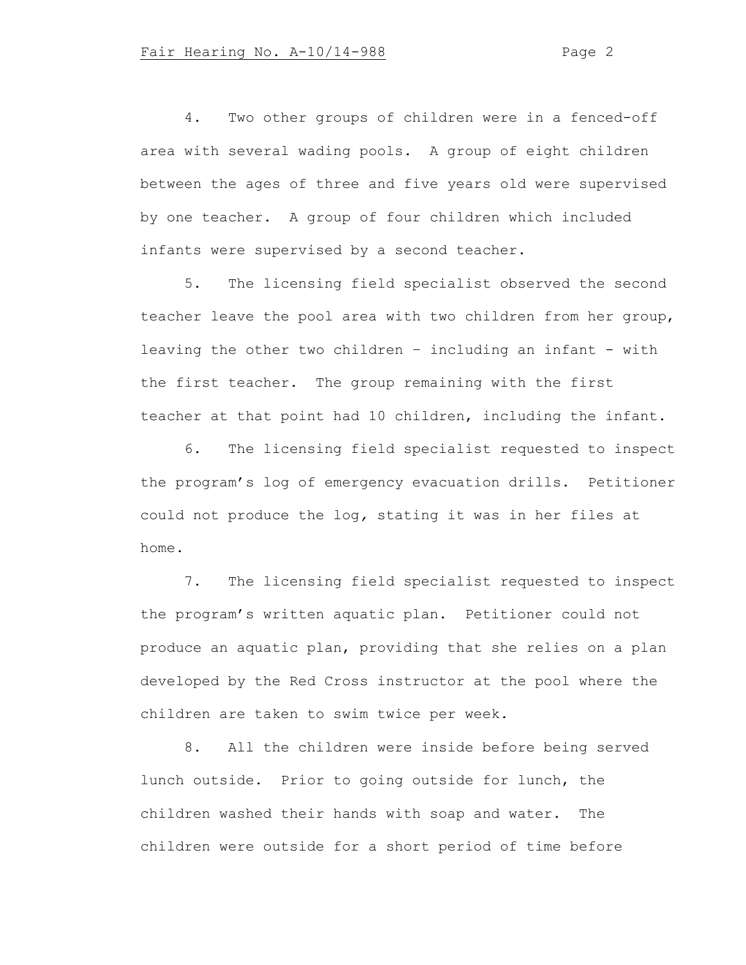4. Two other groups of children were in a fenced-off area with several wading pools. A group of eight children between the ages of three and five years old were supervised by one teacher. A group of four children which included infants were supervised by a second teacher.

5. The licensing field specialist observed the second teacher leave the pool area with two children from her group, leaving the other two children – including an infant - with the first teacher. The group remaining with the first teacher at that point had 10 children, including the infant.

6. The licensing field specialist requested to inspect the program's log of emergency evacuation drills. Petitioner could not produce the log*,* stating it was in her files at home.

7. The licensing field specialist requested to inspect the program's written aquatic plan. Petitioner could not produce an aquatic plan, providing that she relies on a plan developed by the Red Cross instructor at the pool where the children are taken to swim twice per week.

8. All the children were inside before being served lunch outside. Prior to going outside for lunch, the children washed their hands with soap and water. The children were outside for a short period of time before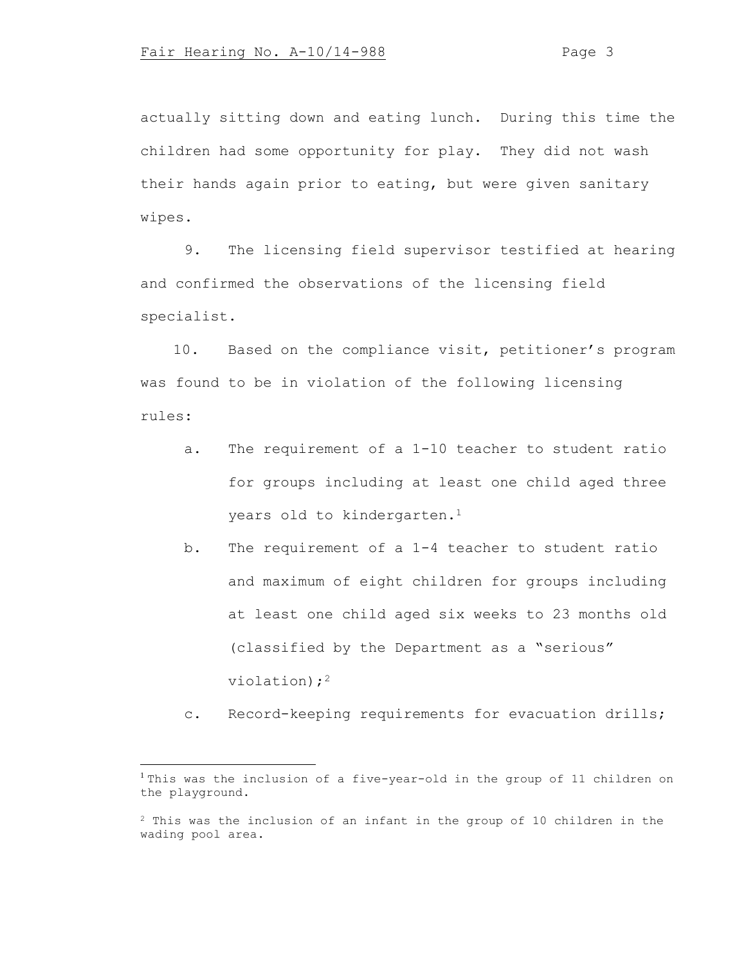actually sitting down and eating lunch. During this time the children had some opportunity for play. They did not wash their hands again prior to eating, but were given sanitary wipes.

9. The licensing field supervisor testified at hearing and confirmed the observations of the licensing field specialist.

10. Based on the compliance visit, petitioner's program was found to be in violation of the following licensing rules:

- a. The requirement of a 1-10 teacher to student ratio for groups including at least one child aged three years old to kindergarten.<sup>1</sup>
- b. The requirement of a 1-4 teacher to student ratio and maximum of eight children for groups including at least one child aged six weeks to 23 months old (classified by the Department as a "serious" violation);<sup>2</sup>
- c. Record-keeping requirements for evacuation drills;

<sup>&</sup>lt;sup>1</sup> This was the inclusion of a five-year-old in the group of 11 children on the playground.

<sup>2</sup> This was the inclusion of an infant in the group of 10 children in the wading pool area.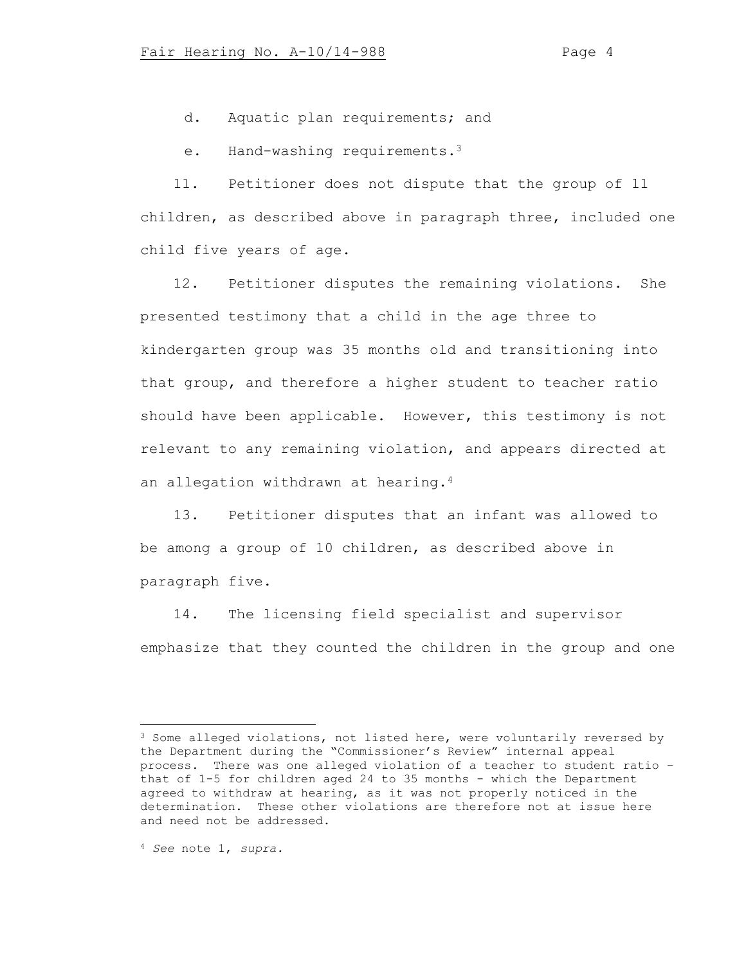d. Aquatic plan requirements; and

e. Hand-washing requirements.<sup>3</sup>

11. Petitioner does not dispute that the group of 11 children, as described above in paragraph three, included one child five years of age.

12. Petitioner disputes the remaining violations. She presented testimony that a child in the age three to kindergarten group was 35 months old and transitioning into that group, and therefore a higher student to teacher ratio should have been applicable. However, this testimony is not relevant to any remaining violation, and appears directed at an allegation withdrawn at hearing.<sup>4</sup>

13. Petitioner disputes that an infant was allowed to be among a group of 10 children, as described above in paragraph five.

14. The licensing field specialist and supervisor emphasize that they counted the children in the group and one

<sup>&</sup>lt;sup>3</sup> Some alleged violations, not listed here, were voluntarily reversed by the Department during the "Commissioner's Review" internal appeal process. There was one alleged violation of a teacher to student ratio – that of 1-5 for children aged 24 to 35 months - which the Department agreed to withdraw at hearing, as it was not properly noticed in the determination. These other violations are therefore not at issue here and need not be addressed.

<sup>4</sup> *See* note 1, *supra.*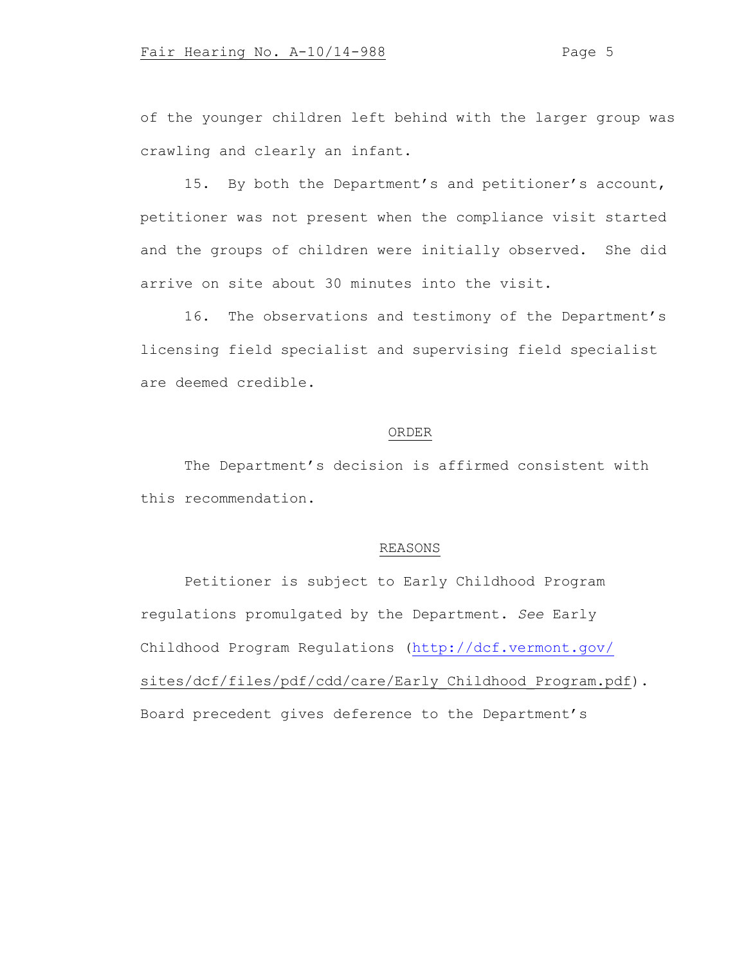of the younger children left behind with the larger group was crawling and clearly an infant.

15. By both the Department's and petitioner's account, petitioner was not present when the compliance visit started and the groups of children were initially observed. She did arrive on site about 30 minutes into the visit.

16. The observations and testimony of the Department's licensing field specialist and supervising field specialist are deemed credible.

## ORDER

The Department's decision is affirmed consistent with this recommendation.

## REASONS

Petitioner is subject to Early Childhood Program regulations promulgated by the Department. *See* Early Childhood Program Regulations [\(http://dcf.vermont.gov/](http://dcf.vermont.gov/) sites/dcf/files/pdf/cdd/care/Early\_Childhood\_Program.pdf). Board precedent gives deference to the Department's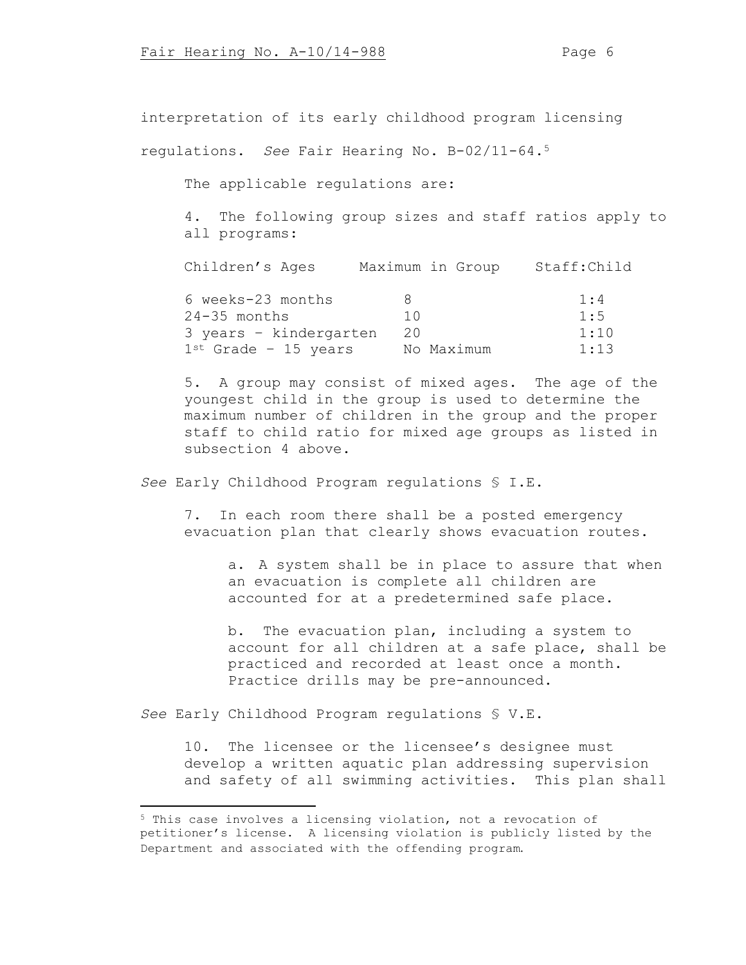interpretation of its early childhood program licensing

regulations. *See* Fair Hearing No. B-02/11-64.<sup>5</sup>

The applicable regulations are:

4. The following group sizes and staff ratios apply to all programs:

| Children's Ages           | Maximum in Group | Staff:Child |
|---------------------------|------------------|-------------|
| 6 weeks-23 months         |                  | 1:4         |
| $24-35$ months            | 1 O              | 1:5         |
| 3 years - kindergarten    | 20               | 1:10        |
| $1^{st}$ Grade - 15 years | No Maximum       | 1:13        |

5. A group may consist of mixed ages. The age of the youngest child in the group is used to determine the maximum number of children in the group and the proper staff to child ratio for mixed age groups as listed in subsection 4 above.

*See* Early Childhood Program regulations § I.E.

7. In each room there shall be a posted emergency evacuation plan that clearly shows evacuation routes.

a. A system shall be in place to assure that when an evacuation is complete all children are accounted for at a predetermined safe place.

b. The evacuation plan, including a system to account for all children at a safe place, shall be practiced and recorded at least once a month. Practice drills may be pre-announced.

*See* Early Childhood Program regulations § V.E**.**

10. The licensee or the licensee's designee must develop a written aquatic plan addressing supervision and safety of all swimming activities. This plan shall

<sup>5</sup> This case involves a licensing violation, not a revocation of petitioner's license. A licensing violation is publicly listed by the Department and associated with the offending program.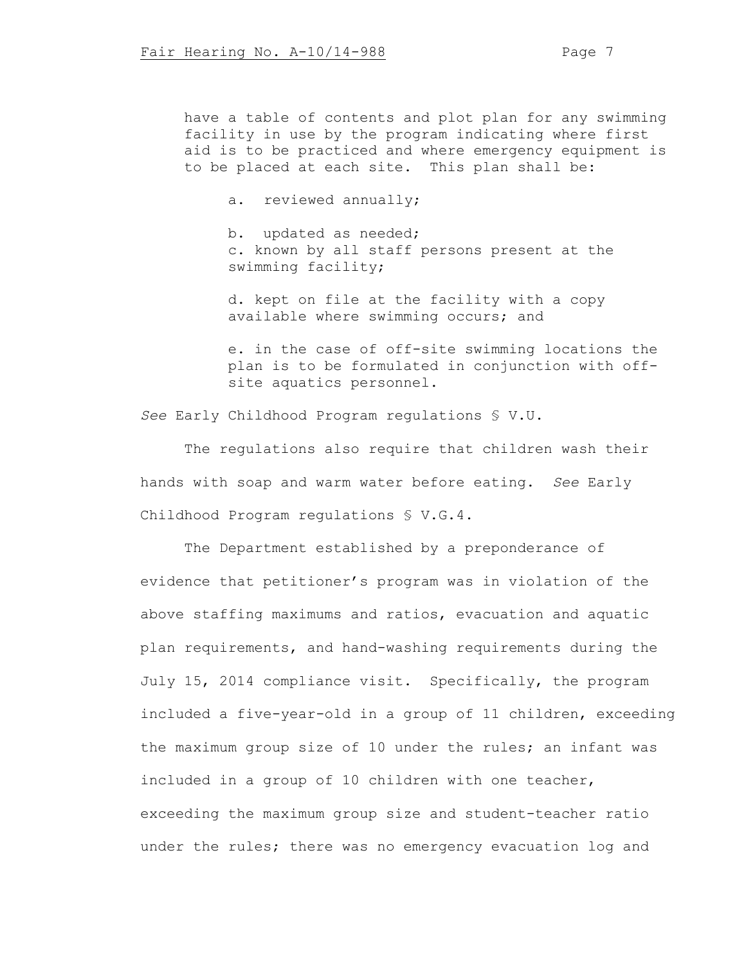have a table of contents and plot plan for any swimming facility in use by the program indicating where first aid is to be practiced and where emergency equipment is to be placed at each site. This plan shall be:

a. reviewed annually;

b. updated as needed; c. known by all staff persons present at the swimming facility;

d. kept on file at the facility with a copy available where swimming occurs; and

e. in the case of off-site swimming locations the plan is to be formulated in conjunction with offsite aquatics personnel.

*See* Early Childhood Program regulations § V.U.

The regulations also require that children wash their hands with soap and warm water before eating. *See* Early Childhood Program regulations § V.G.4.

The Department established by a preponderance of evidence that petitioner's program was in violation of the above staffing maximums and ratios, evacuation and aquatic plan requirements, and hand-washing requirements during the July 15, 2014 compliance visit. Specifically, the program included a five-year-old in a group of 11 children, exceeding the maximum group size of 10 under the rules; an infant was included in a group of 10 children with one teacher, exceeding the maximum group size and student-teacher ratio under the rules; there was no emergency evacuation log and